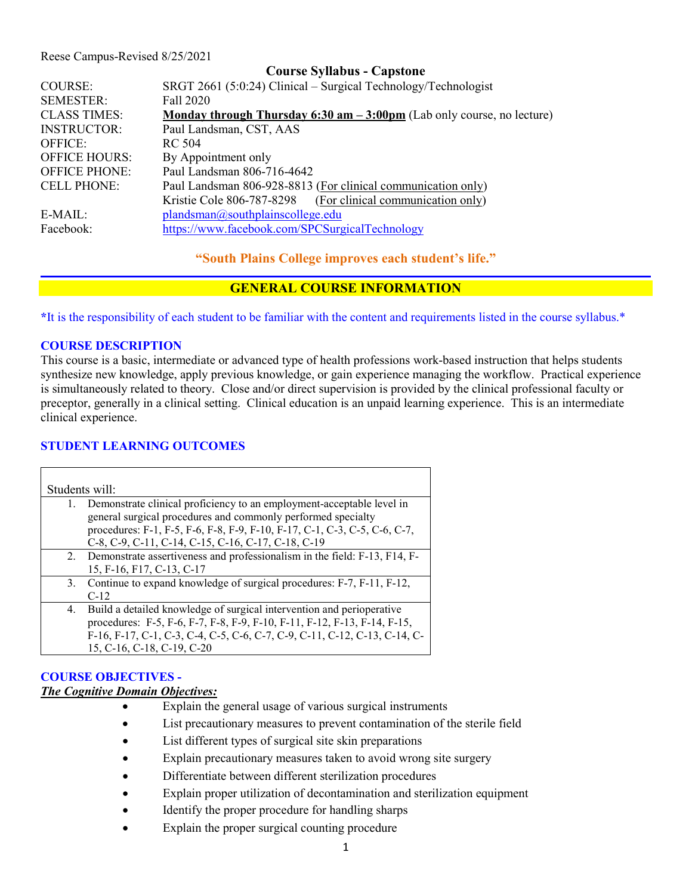#### Reese Campus-Revised 8/25/2021

|                      | <b>Course Syllabus - Capstone</b>                                               |  |  |  |
|----------------------|---------------------------------------------------------------------------------|--|--|--|
| COURSE:              | SRGT 2661 (5:0:24) Clinical – Surgical Technology/Technologist                  |  |  |  |
| <b>SEMESTER:</b>     | Fall 2020                                                                       |  |  |  |
| <b>CLASS TIMES:</b>  | Monday through Thursday 6:30 am $-3:00 \text{pm}$ (Lab only course, no lecture) |  |  |  |
| <b>INSTRUCTOR:</b>   | Paul Landsman, CST, AAS                                                         |  |  |  |
| <b>OFFICE:</b>       | RC 504                                                                          |  |  |  |
| <b>OFFICE HOURS:</b> | By Appointment only                                                             |  |  |  |
| <b>OFFICE PHONE:</b> | Paul Landsman 806-716-4642                                                      |  |  |  |
| <b>CELL PHONE:</b>   | Paul Landsman 806-928-8813 (For clinical communication only)                    |  |  |  |
|                      | (For clinical communication only)<br>Kristie Cole 806-787-8298                  |  |  |  |
| $E-MAIL:$            | plandsman@southplainscollege.edu                                                |  |  |  |
| Facebook:            | https://www.facebook.com/SPCSurgicalTechnology                                  |  |  |  |

**"South Plains College improves each student's life."**

### **GENERAL COURSE INFORMATION**

**\***It is the responsibility of each student to be familiar with the content and requirements listed in the course syllabus.\*

#### **COURSE DESCRIPTION**

This course is a basic, intermediate or advanced type of health professions work-based instruction that helps students synthesize new knowledge, apply previous knowledge, or gain experience managing the workflow. Practical experience is simultaneously related to theory. Close and/or direct supervision is provided by the clinical professional faculty or preceptor, generally in a clinical setting. Clinical education is an unpaid learning experience. This is an intermediate clinical experience.

#### **STUDENT LEARNING OUTCOMES**

| Students will: |                                                                                                                                                                                                                                                              |  |  |  |
|----------------|--------------------------------------------------------------------------------------------------------------------------------------------------------------------------------------------------------------------------------------------------------------|--|--|--|
| 1.             | Demonstrate clinical proficiency to an employment-acceptable level in<br>general surgical procedures and commonly performed specialty<br>procedures: F-1, F-5, F-6, F-8, F-9, F-10, F-17, C-1, C-3, C-5, C-6, C-7,                                           |  |  |  |
|                | C-8, C-9, C-11, C-14, C-15, C-16, C-17, C-18, C-19                                                                                                                                                                                                           |  |  |  |
|                | 2. Demonstrate assertiveness and professionalism in the field: F-13, F14, F-<br>15, F-16, F17, C-13, C-17                                                                                                                                                    |  |  |  |
|                | 3. Continue to expand knowledge of surgical procedures: F-7, F-11, F-12,<br>$C-12$                                                                                                                                                                           |  |  |  |
| 4.             | Build a detailed knowledge of surgical intervention and perioperative<br>procedures: F-5, F-6, F-7, F-8, F-9, F-10, F-11, F-12, F-13, F-14, F-15,<br>F-16, F-17, C-1, C-3, C-4, C-5, C-6, C-7, C-9, C-11, C-12, C-13, C-14, C-<br>15, C-16, C-18, C-19, C-20 |  |  |  |

# **COURSE OBJECTIVES -**

## *The Cognitive Domain Objectives:*

- Explain the general usage of various surgical instruments
- List precautionary measures to prevent contamination of the sterile field
- List different types of surgical site skin preparations
- Explain precautionary measures taken to avoid wrong site surgery
- Differentiate between different sterilization procedures
- Explain proper utilization of decontamination and sterilization equipment
- Identify the proper procedure for handling sharps
- Explain the proper surgical counting procedure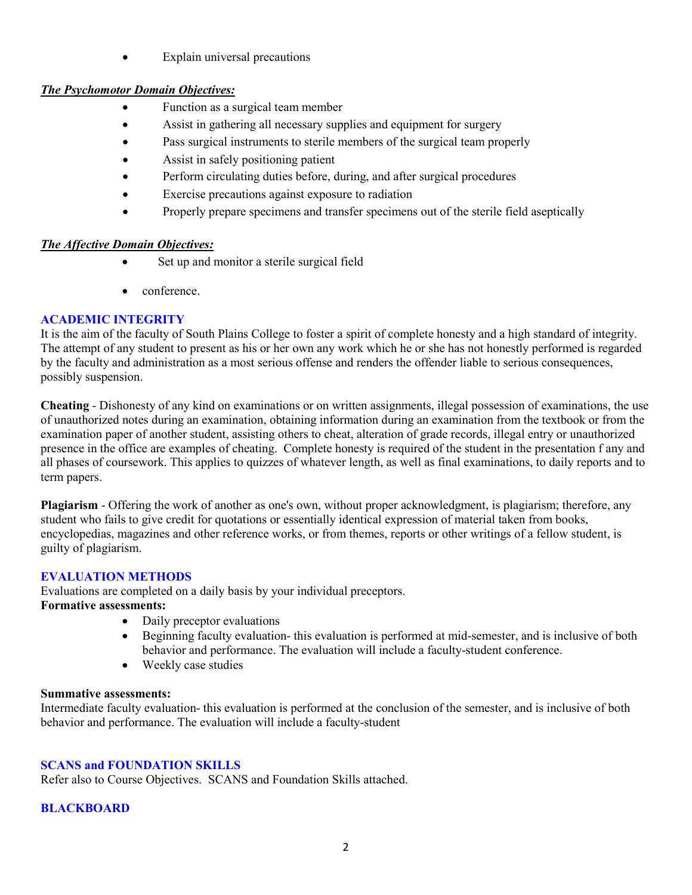• Explain universal precautions

### *The Psychomotor Domain Objectives:*

- Function as a surgical team member
- Assist in gathering all necessary supplies and equipment for surgery
- Pass surgical instruments to sterile members of the surgical team properly
- Assist in safely positioning patient
- Perform circulating duties before, during, and after surgical procedures
- Exercise precautions against exposure to radiation
- Properly prepare specimens and transfer specimens out of the sterile field aseptically

### *The Affective Domain Objectives:*

- Set up and monitor a sterile surgical field
- conference.

### **ACADEMIC INTEGRITY**

It is the aim of the faculty of South Plains College to foster a spirit of complete honesty and a high standard of integrity. The attempt of any student to present as his or her own any work which he or she has not honestly performed is regarded by the faculty and administration as a most serious offense and renders the offender liable to serious consequences, possibly suspension.

**Cheating** - Dishonesty of any kind on examinations or on written assignments, illegal possession of examinations, the use of unauthorized notes during an examination, obtaining information during an examination from the textbook or from the examination paper of another student, assisting others to cheat, alteration of grade records, illegal entry or unauthorized presence in the office are examples of cheating. Complete honesty is required of the student in the presentation f any and all phases of coursework. This applies to quizzes of whatever length, as well as final examinations, to daily reports and to term papers.

**Plagiarism** - Offering the work of another as one's own, without proper acknowledgment, is plagiarism; therefore, any student who fails to give credit for quotations or essentially identical expression of material taken from books, encyclopedias, magazines and other reference works, or from themes, reports or other writings of a fellow student, is guilty of plagiarism.

## **EVALUATION METHODS**

Evaluations are completed on a daily basis by your individual preceptors.

### **Formative assessments:**

- Daily preceptor evaluations
- Beginning faculty evaluation- this evaluation is performed at mid-semester, and is inclusive of both behavior and performance. The evaluation will include a faculty-student conference.
- Weekly case studies

### **Summative assessments:**

Intermediate faculty evaluation- this evaluation is performed at the conclusion of the semester, and is inclusive of both behavior and performance. The evaluation will include a faculty-student

### **SCANS and FOUNDATION SKILLS**

Refer also to Course Objectives. SCANS and Foundation Skills attached.

### **BLACKBOARD**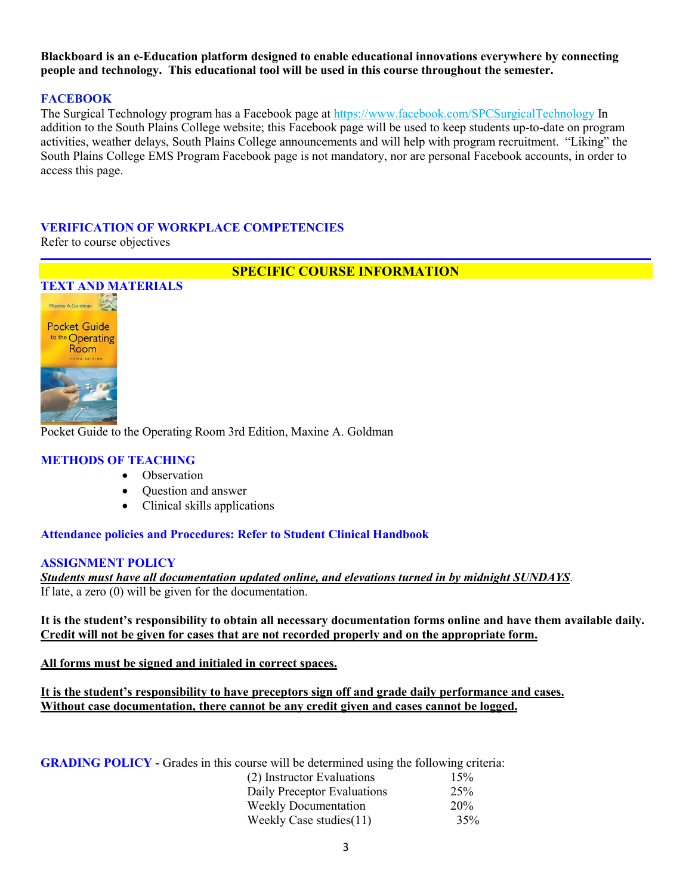**Blackboard is an e-Education platform designed to enable educational innovations everywhere by connecting people and technology. This educational tool will be used in this course throughout the semester.** 

#### **FACEBOOK**

The Surgical Technology program has a Facebook page at<https://www.facebook.com/SPCSurgicalTechnology> In addition to the South Plains College website; this Facebook page will be used to keep students up-to-date on program activities, weather delays, South Plains College announcements and will help with program recruitment. "Liking" the South Plains College EMS Program Facebook page is not mandatory, nor are personal Facebook accounts, in order to access this page.

### **VERIFICATION OF WORKPLACE COMPETENCIES**

Refer to course objectives

### **SPECIFIC COURSE INFORMATION**



Pocket Guide to the Operating Room 3rd Edition, Maxine A. Goldman

#### **METHODS OF TEACHING**

- Observation
- Question and answer
- Clinical skills applications

### **Attendance policies and Procedures: Refer to Student Clinical Handbook**

#### **ASSIGNMENT POLICY**

*Students must have all documentation updated online, and elevations turned in by midnight SUNDAYS*. If late, a zero (0) will be given for the documentation.

**It is the student's responsibility to obtain all necessary documentation forms online and have them available daily. Credit will not be given for cases that are not recorded properly and on the appropriate form.** 

**All forms must be signed and initialed in correct spaces.** 

**It is the student's responsibility to have preceptors sign off and grade daily performance and cases. Without case documentation, there cannot be any credit given and cases cannot be logged.**

**GRADING POLICY -** Grades in this course will be determined using the following criteria: (2) Instructor Evaluations 15% Daily Preceptor Evaluations 25% Weekly Documentation 20% Weekly Case studies(11) 35%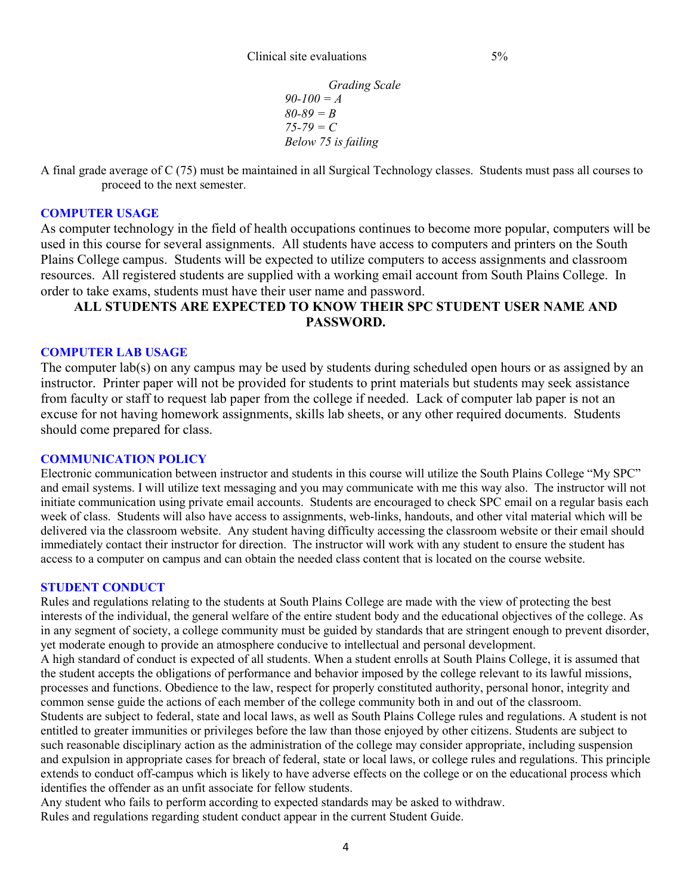*Grading Scale 90-100 = A 80-89 = B 75-79 = C Below 75 is failing*

A final grade average of C (75) must be maintained in all Surgical Technology classes. Students must pass all courses to proceed to the next semester.

#### **COMPUTER USAGE**

As computer technology in the field of health occupations continues to become more popular, computers will be used in this course for several assignments. All students have access to computers and printers on the South Plains College campus. Students will be expected to utilize computers to access assignments and classroom resources. All registered students are supplied with a working email account from South Plains College. In order to take exams, students must have their user name and password.

## **ALL STUDENTS ARE EXPECTED TO KNOW THEIR SPC STUDENT USER NAME AND PASSWORD.**

#### **COMPUTER LAB USAGE**

The computer lab(s) on any campus may be used by students during scheduled open hours or as assigned by an instructor. Printer paper will not be provided for students to print materials but students may seek assistance from faculty or staff to request lab paper from the college if needed. Lack of computer lab paper is not an excuse for not having homework assignments, skills lab sheets, or any other required documents. Students should come prepared for class.

#### **COMMUNICATION POLICY**

Electronic communication between instructor and students in this course will utilize the South Plains College "My SPC" and email systems. I will utilize text messaging and you may communicate with me this way also. The instructor will not initiate communication using private email accounts. Students are encouraged to check SPC email on a regular basis each week of class. Students will also have access to assignments, web-links, handouts, and other vital material which will be delivered via the classroom website. Any student having difficulty accessing the classroom website or their email should immediately contact their instructor for direction. The instructor will work with any student to ensure the student has access to a computer on campus and can obtain the needed class content that is located on the course website.

#### **STUDENT CONDUCT**

Rules and regulations relating to the students at South Plains College are made with the view of protecting the best interests of the individual, the general welfare of the entire student body and the educational objectives of the college. As in any segment of society, a college community must be guided by standards that are stringent enough to prevent disorder, yet moderate enough to provide an atmosphere conducive to intellectual and personal development. A high standard of conduct is expected of all students. When a student enrolls at South Plains College, it is assumed that the student accepts the obligations of performance and behavior imposed by the college relevant to its lawful missions, processes and functions. Obedience to the law, respect for properly constituted authority, personal honor, integrity and common sense guide the actions of each member of the college community both in and out of the classroom. Students are subject to federal, state and local laws, as well as South Plains College rules and regulations. A student is not entitled to greater immunities or privileges before the law than those enjoyed by other citizens. Students are subject to such reasonable disciplinary action as the administration of the college may consider appropriate, including suspension and expulsion in appropriate cases for breach of federal, state or local laws, or college rules and regulations. This principle extends to conduct off-campus which is likely to have adverse effects on the college or on the educational process which identifies the offender as an unfit associate for fellow students.

Any student who fails to perform according to expected standards may be asked to withdraw. Rules and regulations regarding student conduct appear in the current Student Guide.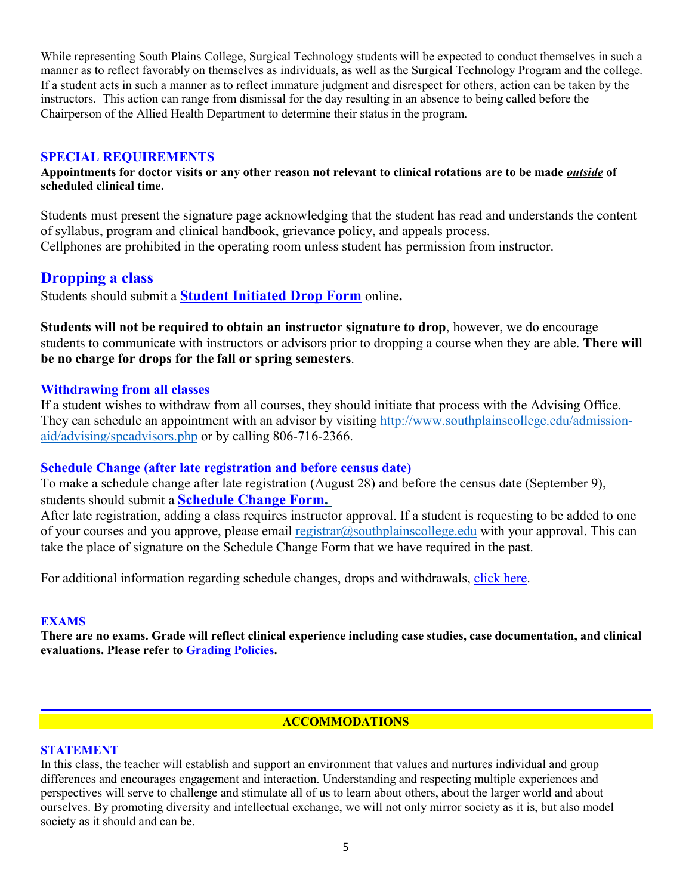While representing South Plains College, Surgical Technology students will be expected to conduct themselves in such a manner as to reflect favorably on themselves as individuals, as well as the Surgical Technology Program and the college. If a student acts in such a manner as to reflect immature judgment and disrespect for others, action can be taken by the instructors. This action can range from dismissal for the day resulting in an absence to being called before the Chairperson of the Allied Health Department to determine their status in the program.

### **SPECIAL REQUIREMENTS**

**Appointments for doctor visits or any other reason not relevant to clinical rotations are to be made** *outside* **of scheduled clinical time.** 

Students must present the signature page acknowledging that the student has read and understands the content of syllabus, program and clinical handbook, grievance policy, and appeals process. Cellphones are prohibited in the operating room unless student has permission from instructor.

## **Dropping a class**

Students should submit a **Student [Initiated](https://forms.office.com/Pages/ResponsePage.aspx?id=ZrGRbWrP6UWeIqAmJdCCqRkmPIpp6AVCixFJfcqITt9UODExTUFXS0JOODhJOTlYM0NEV1kzRk9GMS4u) Drop Form** online**.**

**Students will not be required to obtain an instructor signature to drop**, however, we do encourage students to communicate with instructors or advisors prior to dropping a course when they are able. **There will be no charge for drops for the fall or spring semesters**.

### **Withdrawing from all classes**

If a student wishes to withdraw from all courses, they should initiate that process with the Advising Office. They can schedule an appointment with an advisor by visiting [http://www.southplainscollege.edu/admission](http://www.southplainscollege.edu/admission-aid/advising/spcadvisors.php)[aid/advising/spcadvisors.php](http://www.southplainscollege.edu/admission-aid/advising/spcadvisors.php) or by calling 806-716-2366.

### **Schedule Change (after late registration and before census date)**

To make a schedule change after late registration (August 28) and before the census date (September 9), students should submit a **[Schedule](https://forms.office.com/Pages/ResponsePage.aspx?id=ZrGRbWrP6UWeIqAmJdCCqRkmPIpp6AVCixFJfcqITt9UODIyTkRZSkFHVDNSVFRFV0g0T0tVWVAwRi4u) Change Form.**

After late registration, adding a class requires instructor approval. If a student is requesting to be added to one of your courses and you approve, please email [registrar@southplainscollege.edu](mailto:registrar@southplainscollege.edu) with your approval. This can take the place of signature on the Schedule Change Form that we have required in the past.

For additional information regarding schedule changes, drops and withdrawals, [click](http://www.southplainscollege.edu/admission-aid/apply/schedulechanges.php) here.

### **EXAMS**

**There are no exams. Grade will reflect clinical experience including case studies, case documentation, and clinical evaluations. Please refer to Grading Policies.**

## **ACCOMMODATIONS**

### **STATEMENT**

In this class, the teacher will establish and support an environment that values and nurtures individual and group differences and encourages engagement and interaction. Understanding and respecting multiple experiences and perspectives will serve to challenge and stimulate all of us to learn about others, about the larger world and about ourselves. By promoting diversity and intellectual exchange, we will not only mirror society as it is, but also model society as it should and can be.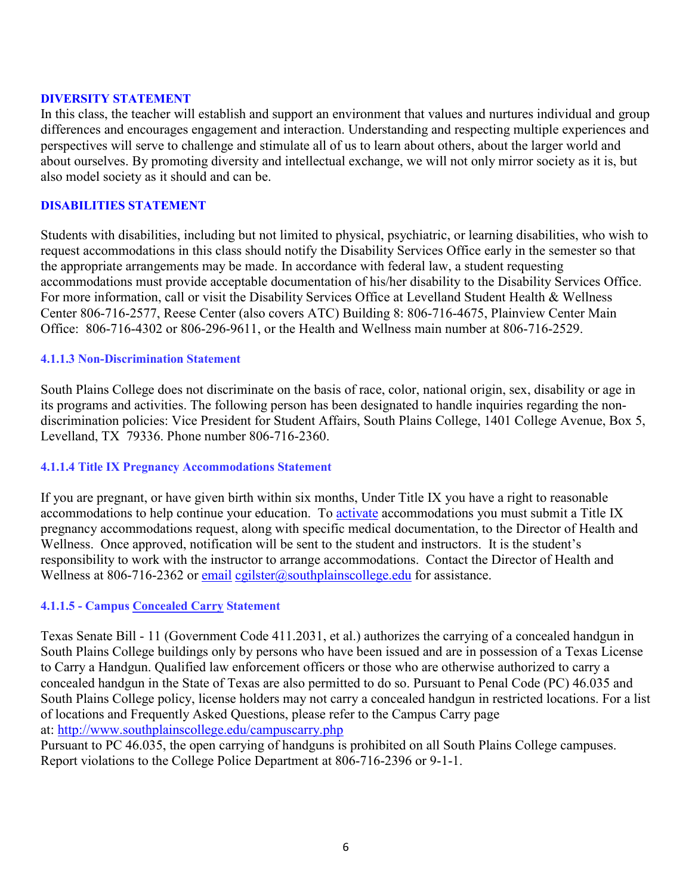### **DIVERSITY STATEMENT**

In this class, the teacher will establish and support an environment that values and nurtures individual and group differences and encourages engagement and interaction. Understanding and respecting multiple experiences and perspectives will serve to challenge and stimulate all of us to learn about others, about the larger world and about ourselves. By promoting diversity and intellectual exchange, we will not only mirror society as it is, but also model society as it should and can be.

#### **DISABILITIES STATEMENT**

Students with disabilities, including but not limited to physical, psychiatric, or learning disabilities, who wish to request accommodations in this class should notify the Disability Services Office early in the semester so that the appropriate arrangements may be made. In accordance with federal law, a student requesting accommodations must provide acceptable documentation of his/her disability to the Disability Services Office. For more information, call or visit the Disability Services Office at Levelland Student Health & Wellness Center 806-716-2577, Reese Center (also covers ATC) Building 8: 806-716-4675, Plainview Center Main Office: 806-716-4302 or 806-296-9611, or the Health and Wellness main number at 806-716-2529.

#### **4.1.1.3 Non-Discrimination Statement**

South Plains College does not discriminate on the basis of race, color, national origin, sex, disability or age in its programs and activities. The following person has been designated to handle inquiries regarding the nondiscrimination policies: Vice President for Student Affairs, South Plains College, 1401 College Avenue, Box 5, Levelland, TX 79336. Phone number 806-716-2360.

### **4.1.1.4 Title IX Pregnancy Accommodations Statement**

If you are pregnant, or have given birth within six months, Under Title IX you have a right to reasonable accommodations to help continue your education. To **[activate](http://www.southplainscollege.edu/employees/manualshandbooks/facultyhandbook/sec4.php)** accommodations you must submit a Title IX pregnancy accommodations request, along with specific medical documentation, to the Director of Health and Wellness. Once approved, notification will be sent to the student and instructors. It is the student's responsibility to work with the instructor to arrange accommodations. Contact the Director of Health and Wellness at 806-716-2362 or [email](http://www.southplainscollege.edu/employees/manualshandbooks/facultyhandbook/sec4.php) [cgilster@southplainscollege.edu](mailto:cgilster@southplainscollege.edu) for assistance.

### **4.1.1.5 - Campus [Concealed Carry](http://www.southplainscollege.edu/employees/manualshandbooks/facultyhandbook/sec4.php) Statement**

Texas Senate Bill - 11 (Government Code 411.2031, et al.) authorizes the carrying of a concealed handgun in South Plains College buildings only by persons who have been issued and are in possession of a Texas License to Carry a Handgun. Qualified law enforcement officers or those who are otherwise authorized to carry a concealed handgun in the State of Texas are also permitted to do so. Pursuant to Penal Code (PC) 46.035 and South Plains College policy, license holders may not carry a concealed handgun in restricted locations. For a list of locations and Frequently Asked Questions, please refer to the Campus Carry page at: <http://www.southplainscollege.edu/campuscarry.php>

Pursuant to PC 46.035, the open carrying of handguns is prohibited on all South Plains College campuses. Report violations to the College Police Department at 806-716-2396 or 9-1-1.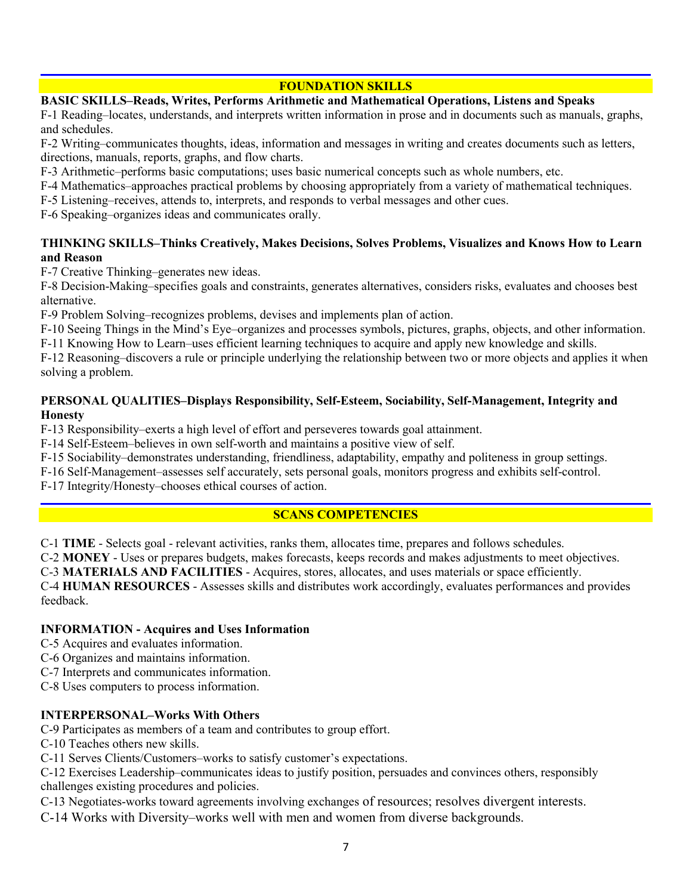### **FOUNDATION SKILLS**

### **BASIC SKILLS–Reads, Writes, Performs Arithmetic and Mathematical Operations, Listens and Speaks**

F-1 Reading–locates, understands, and interprets written information in prose and in documents such as manuals, graphs, and schedules.

F-2 Writing–communicates thoughts, ideas, information and messages in writing and creates documents such as letters, directions, manuals, reports, graphs, and flow charts.

F-3 Arithmetic–performs basic computations; uses basic numerical concepts such as whole numbers, etc.

F-4 Mathematics–approaches practical problems by choosing appropriately from a variety of mathematical techniques.

F-5 Listening–receives, attends to, interprets, and responds to verbal messages and other cues.

F-6 Speaking–organizes ideas and communicates orally.

### **THINKING SKILLS–Thinks Creatively, Makes Decisions, Solves Problems, Visualizes and Knows How to Learn and Reason**

F-7 Creative Thinking–generates new ideas.

F-8 Decision-Making–specifies goals and constraints, generates alternatives, considers risks, evaluates and chooses best alternative.

F-9 Problem Solving–recognizes problems, devises and implements plan of action.

F-10 Seeing Things in the Mind's Eye–organizes and processes symbols, pictures, graphs, objects, and other information.

F-11 Knowing How to Learn–uses efficient learning techniques to acquire and apply new knowledge and skills.

F-12 Reasoning–discovers a rule or principle underlying the relationship between two or more objects and applies it when solving a problem.

### **PERSONAL QUALITIES–Displays Responsibility, Self-Esteem, Sociability, Self-Management, Integrity and Honesty**

F-13 Responsibility–exerts a high level of effort and perseveres towards goal attainment.

F-14 Self-Esteem–believes in own self-worth and maintains a positive view of self.

F-15 Sociability–demonstrates understanding, friendliness, adaptability, empathy and politeness in group settings.

F-16 Self-Management–assesses self accurately, sets personal goals, monitors progress and exhibits self-control.

F-17 Integrity/Honesty–chooses ethical courses of action.

### **SCANS COMPETENCIES**

C-1 **TIME** - Selects goal - relevant activities, ranks them, allocates time, prepares and follows schedules.

C-2 **MONEY** - Uses or prepares budgets, makes forecasts, keeps records and makes adjustments to meet objectives.

C-3 **MATERIALS AND FACILITIES** - Acquires, stores, allocates, and uses materials or space efficiently.

C-4 **HUMAN RESOURCES** - Assesses skills and distributes work accordingly, evaluates performances and provides feedback.

### **INFORMATION - Acquires and Uses Information**

C-5 Acquires and evaluates information.

C-6 Organizes and maintains information.

C-7 Interprets and communicates information.

C-8 Uses computers to process information.

### **INTERPERSONAL–Works With Others**

C-9 Participates as members of a team and contributes to group effort.

C-10 Teaches others new skills.

C-11 Serves Clients/Customers–works to satisfy customer's expectations.

C-12 Exercises Leadership–communicates ideas to justify position, persuades and convinces others, responsibly challenges existing procedures and policies.

C-13 Negotiates-works toward agreements involving exchanges of resources; resolves divergent interests.

C-14 Works with Diversity–works well with men and women from diverse backgrounds.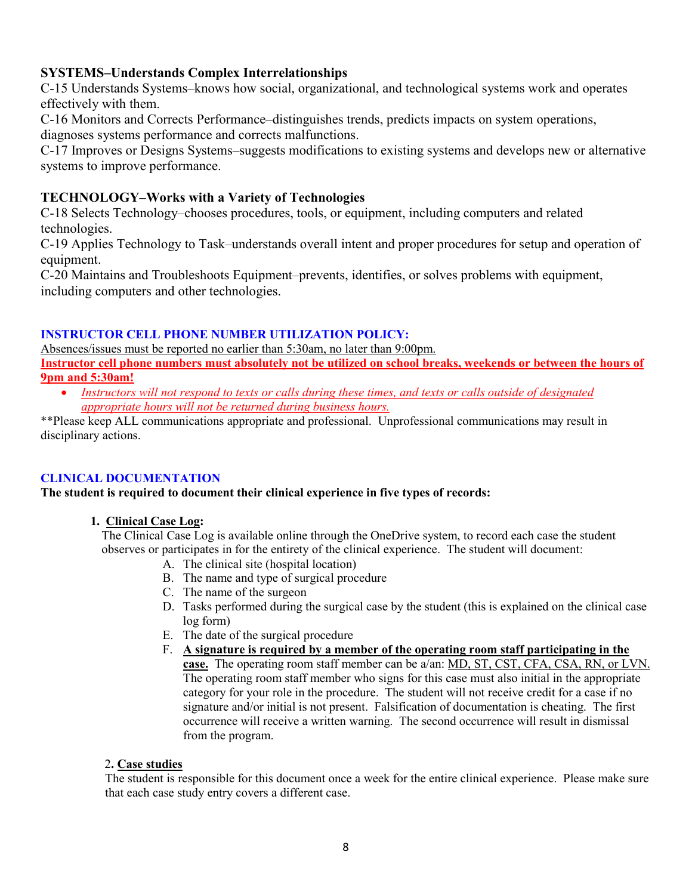## **SYSTEMS–Understands Complex Interrelationships**

C-15 Understands Systems–knows how social, organizational, and technological systems work and operates effectively with them.

C-16 Monitors and Corrects Performance–distinguishes trends, predicts impacts on system operations, diagnoses systems performance and corrects malfunctions.

C-17 Improves or Designs Systems–suggests modifications to existing systems and develops new or alternative systems to improve performance.

## **TECHNOLOGY–Works with a Variety of Technologies**

C-18 Selects Technology–chooses procedures, tools, or equipment, including computers and related technologies.

C-19 Applies Technology to Task–understands overall intent and proper procedures for setup and operation of equipment.

C-20 Maintains and Troubleshoots Equipment–prevents, identifies, or solves problems with equipment, including computers and other technologies.

### **INSTRUCTOR CELL PHONE NUMBER UTILIZATION POLICY:**

Absences/issues must be reported no earlier than 5:30am, no later than 9:00pm. **Instructor cell phone numbers must absolutely not be utilized on school breaks, weekends or between the hours of 9pm and 5:30am!**

• *Instructors will not respond to texts or calls during these times, and texts or calls outside of designated appropriate hours will not be returned during business hours.* 

\*\*Please keep ALL communications appropriate and professional. Unprofessional communications may result in disciplinary actions.

## **CLINICAL DOCUMENTATION**

### **The student is required to document their clinical experience in five types of records:**

### **1. Clinical Case Log:**

The Clinical Case Log is available online through the OneDrive system, to record each case the student observes or participates in for the entirety of the clinical experience. The student will document:

- A. The clinical site (hospital location)
- B. The name and type of surgical procedure
- C. The name of the surgeon
- D. Tasks performed during the surgical case by the student (this is explained on the clinical case log form)
- E. The date of the surgical procedure
- F. **A signature is required by a member of the operating room staff participating in the case.** The operating room staff member can be a/an: MD, ST, CST, CFA, CSA, RN, or LVN. The operating room staff member who signs for this case must also initial in the appropriate category for your role in the procedure. The student will not receive credit for a case if no signature and/or initial is not present. Falsification of documentation is cheating. The first occurrence will receive a written warning. The second occurrence will result in dismissal from the program.

### 2**. Case studies**

The student is responsible for this document once a week for the entire clinical experience. Please make sure that each case study entry covers a different case.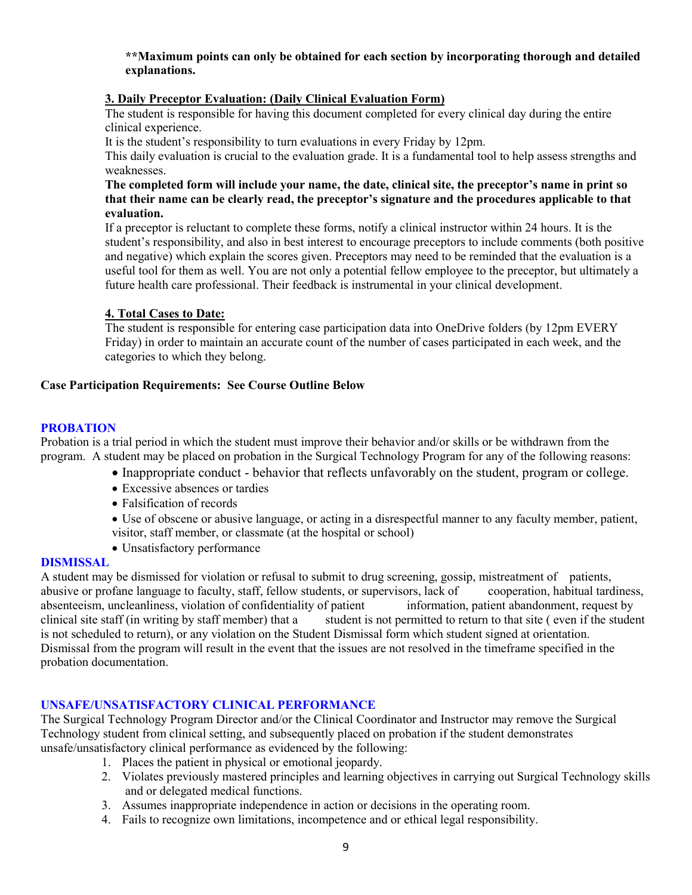**\*\*Maximum points can only be obtained for each section by incorporating thorough and detailed explanations.**

### **3. Daily Preceptor Evaluation: (Daily Clinical Evaluation Form)**

The student is responsible for having this document completed for every clinical day during the entire clinical experience.

It is the student's responsibility to turn evaluations in every Friday by 12pm.

This daily evaluation is crucial to the evaluation grade. It is a fundamental tool to help assess strengths and weaknesses.

#### **The completed form will include your name, the date, clinical site, the preceptor's name in print so that their name can be clearly read, the preceptor's signature and the procedures applicable to that evaluation.**

If a preceptor is reluctant to complete these forms, notify a clinical instructor within 24 hours. It is the student's responsibility, and also in best interest to encourage preceptors to include comments (both positive and negative) which explain the scores given. Preceptors may need to be reminded that the evaluation is a useful tool for them as well. You are not only a potential fellow employee to the preceptor, but ultimately a future health care professional. Their feedback is instrumental in your clinical development.

### **4. Total Cases to Date:**

The student is responsible for entering case participation data into OneDrive folders (by 12pm EVERY Friday) in order to maintain an accurate count of the number of cases participated in each week, and the categories to which they belong.

### **Case Participation Requirements: See Course Outline Below**

### **PROBATION**

Probation is a trial period in which the student must improve their behavior and/or skills or be withdrawn from the program. A student may be placed on probation in the Surgical Technology Program for any of the following reasons:

- Inappropriate conduct behavior that reflects unfavorably on the student, program or college.
- Excessive absences or tardies
- Falsification of records
- Use of obscene or abusive language, or acting in a disrespectful manner to any faculty member, patient, visitor, staff member, or classmate (at the hospital or school)
- Unsatisfactory performance

### **DISMISSAL**

A student may be dismissed for violation or refusal to submit to drug screening, gossip, mistreatment of patients, abusive or profane language to faculty, staff, fellow students, or supervisors, lack of cooperation, habitual tardiness, absenteeism, uncleanliness, violation of confidentiality of patient information, patient abandonment, absenteeism, uncleanliness, violation of confidentiality of patient clinical site staff (in writing by staff member) that a student is not permitted to return to that site ( even if the student is not scheduled to return), or any violation on the Student Dismissal form which student signed at orientation. Dismissal from the program will result in the event that the issues are not resolved in the timeframe specified in the probation documentation.

### **UNSAFE/UNSATISFACTORY CLINICAL PERFORMANCE**

The Surgical Technology Program Director and/or the Clinical Coordinator and Instructor may remove the Surgical Technology student from clinical setting, and subsequently placed on probation if the student demonstrates unsafe/unsatisfactory clinical performance as evidenced by the following:

- 1. Places the patient in physical or emotional jeopardy.
- 2. Violates previously mastered principles and learning objectives in carrying out Surgical Technology skills and or delegated medical functions.
- 3. Assumes inappropriate independence in action or decisions in the operating room.
- 4. Fails to recognize own limitations, incompetence and or ethical legal responsibility.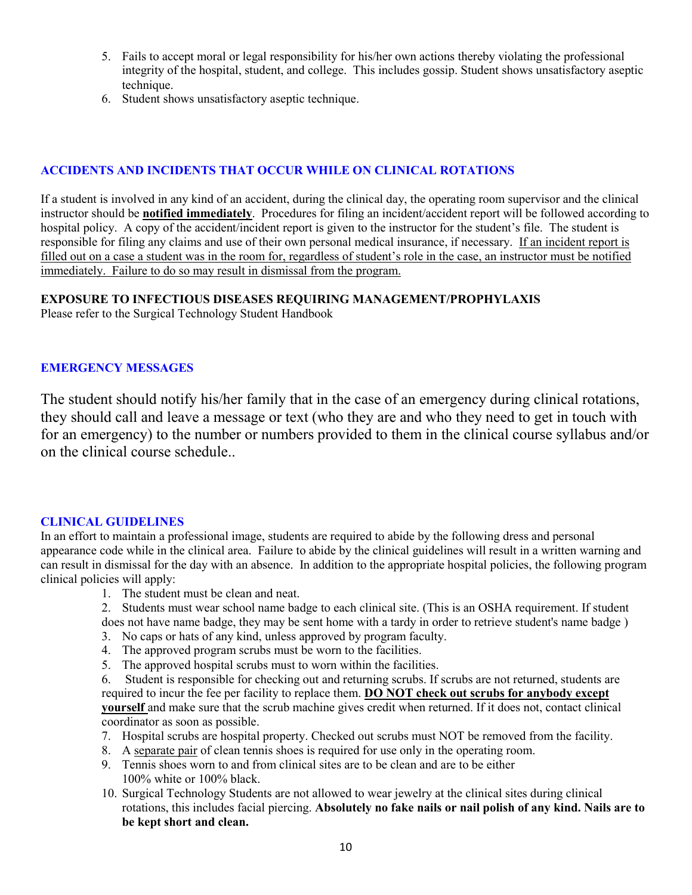- 5. Fails to accept moral or legal responsibility for his/her own actions thereby violating the professional integrity of the hospital, student, and college. This includes gossip. Student shows unsatisfactory aseptic technique.
- 6. Student shows unsatisfactory aseptic technique.

### **ACCIDENTS AND INCIDENTS THAT OCCUR WHILE ON CLINICAL ROTATIONS**

If a student is involved in any kind of an accident, during the clinical day, the operating room supervisor and the clinical instructor should be **notified immediately**. Procedures for filing an incident/accident report will be followed according to hospital policy. A copy of the accident/incident report is given to the instructor for the student's file. The student is responsible for filing any claims and use of their own personal medical insurance, if necessary. If an incident report is filled out on a case a student was in the room for, regardless of student's role in the case, an instructor must be notified immediately. Failure to do so may result in dismissal from the program.

### **EXPOSURE TO INFECTIOUS DISEASES REQUIRING MANAGEMENT/PROPHYLAXIS**

Please refer to the Surgical Technology Student Handbook

### **EMERGENCY MESSAGES**

The student should notify his/her family that in the case of an emergency during clinical rotations, they should call and leave a message or text (who they are and who they need to get in touch with for an emergency) to the number or numbers provided to them in the clinical course syllabus and/or on the clinical course schedule..

#### **CLINICAL GUIDELINES**

In an effort to maintain a professional image, students are required to abide by the following dress and personal appearance code while in the clinical area. Failure to abide by the clinical guidelines will result in a written warning and can result in dismissal for the day with an absence. In addition to the appropriate hospital policies, the following program clinical policies will apply:

- 1. The student must be clean and neat.
- 2. Students must wear school name badge to each clinical site. (This is an OSHA requirement. If student does not have name badge, they may be sent home with a tardy in order to retrieve student's name badge )
- 3. No caps or hats of any kind, unless approved by program faculty.
- 4. The approved program scrubs must be worn to the facilities.
- 5. The approved hospital scrubs must to worn within the facilities.

6. Student is responsible for checking out and returning scrubs. If scrubs are not returned, students are required to incur the fee per facility to replace them. **DO NOT check out scrubs for anybody except yourself** and make sure that the scrub machine gives credit when returned. If it does not, contact clinical coordinator as soon as possible.

- 7. Hospital scrubs are hospital property. Checked out scrubs must NOT be removed from the facility.
- 8. A separate pair of clean tennis shoes is required for use only in the operating room.
- 9. Tennis shoes worn to and from clinical sites are to be clean and are to be either 100% white or 100% black.
- 10. Surgical Technology Students are not allowed to wear jewelry at the clinical sites during clinical rotations, this includes facial piercing. **Absolutely no fake nails or nail polish of any kind. Nails are to be kept short and clean.**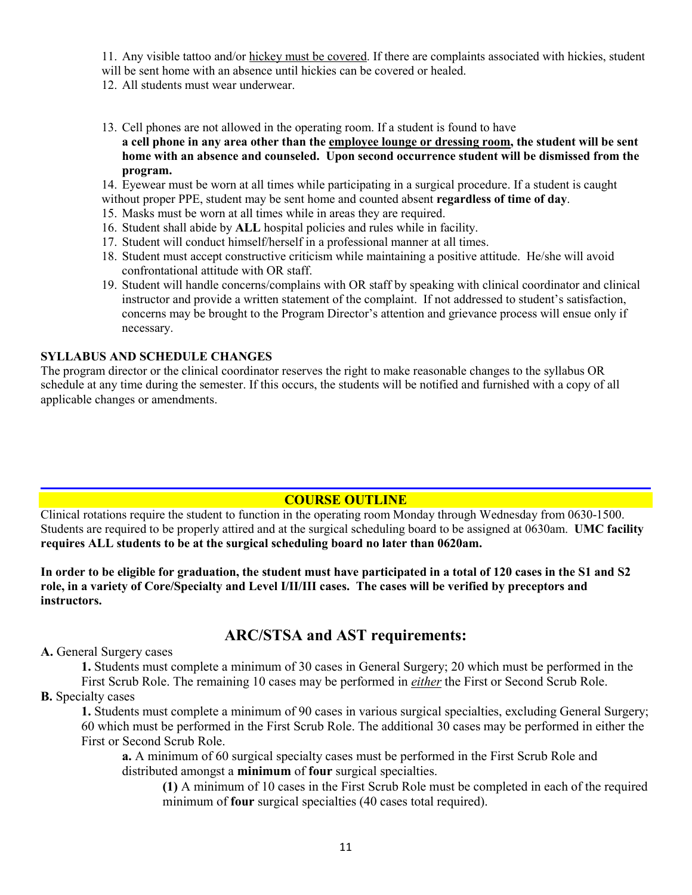11. Any visible tattoo and/or hickey must be covered. If there are complaints associated with hickies, student

- will be sent home with an absence until hickies can be covered or healed.
- 12. All students must wear underwear.
- 13. Cell phones are not allowed in the operating room. If a student is found to have **a cell phone in any area other than the employee lounge or dressing room, the student will be sent home with an absence and counseled. Upon second occurrence student will be dismissed from the program.**
- 14. Eyewear must be worn at all times while participating in a surgical procedure. If a student is caught
- without proper PPE, student may be sent home and counted absent **regardless of time of day**.
- 15. Masks must be worn at all times while in areas they are required.
- 16. Student shall abide by **ALL** hospital policies and rules while in facility.
- 17. Student will conduct himself/herself in a professional manner at all times.
- 18. Student must accept constructive criticism while maintaining a positive attitude. He/she will avoid confrontational attitude with OR staff.
- 19. Student will handle concerns/complains with OR staff by speaking with clinical coordinator and clinical instructor and provide a written statement of the complaint. If not addressed to student's satisfaction, concerns may be brought to the Program Director's attention and grievance process will ensue only if necessary.

### **SYLLABUS AND SCHEDULE CHANGES**

The program director or the clinical coordinator reserves the right to make reasonable changes to the syllabus OR schedule at any time during the semester. If this occurs, the students will be notified and furnished with a copy of all applicable changes or amendments.

## **COURSE OUTLINE**

Clinical rotations require the student to function in the operating room Monday through Wednesday from 0630-1500. Students are required to be properly attired and at the surgical scheduling board to be assigned at 0630am. **UMC facility requires ALL students to be at the surgical scheduling board no later than 0620am.** 

**In order to be eligible for graduation, the student must have participated in a total of 120 cases in the S1 and S2 role, in a variety of Core/Specialty and Level I/II/III cases. The cases will be verified by preceptors and instructors.** 

# **ARC/STSA and AST requirements:**

**A.** General Surgery cases

**1.** Students must complete a minimum of 30 cases in General Surgery; 20 which must be performed in the First Scrub Role. The remaining 10 cases may be performed in *either* the First or Second Scrub Role.

### **B.** Specialty cases

**1.** Students must complete a minimum of 90 cases in various surgical specialties, excluding General Surgery; 60 which must be performed in the First Scrub Role. The additional 30 cases may be performed in either the First or Second Scrub Role.

**a.** A minimum of 60 surgical specialty cases must be performed in the First Scrub Role and distributed amongst a **minimum** of **four** surgical specialties.

**(1)** A minimum of 10 cases in the First Scrub Role must be completed in each of the required minimum of **four** surgical specialties (40 cases total required).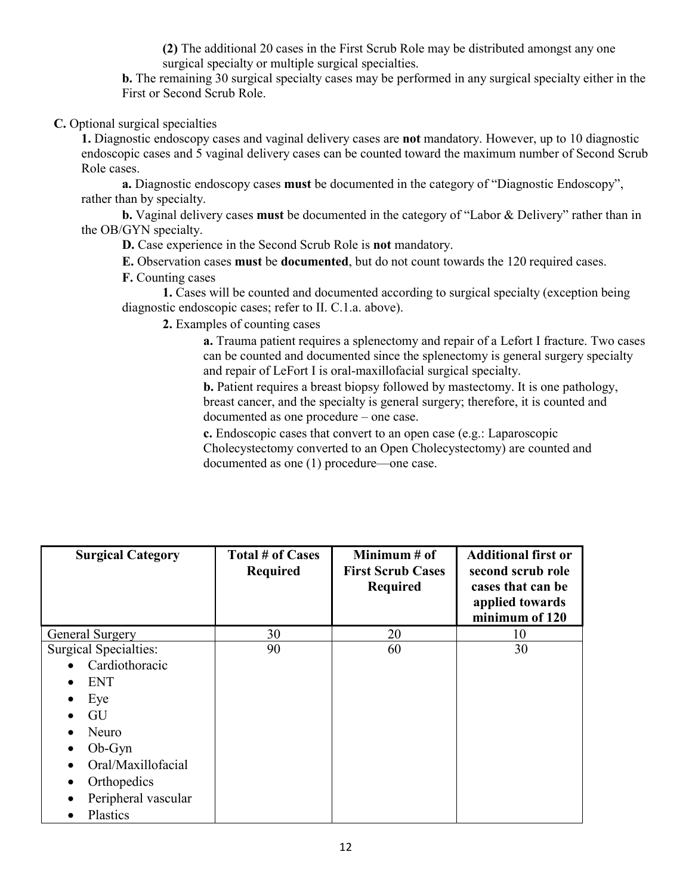**(2)** The additional 20 cases in the First Scrub Role may be distributed amongst any one surgical specialty or multiple surgical specialties.

**b.** The remaining 30 surgical specialty cases may be performed in any surgical specialty either in the First or Second Scrub Role.

 **C.** Optional surgical specialties

**1.** Diagnostic endoscopy cases and vaginal delivery cases are **not** mandatory. However, up to 10 diagnostic endoscopic cases and 5 vaginal delivery cases can be counted toward the maximum number of Second Scrub Role cases.

**a.** Diagnostic endoscopy cases **must** be documented in the category of "Diagnostic Endoscopy", rather than by specialty.

**b.** Vaginal delivery cases **must** be documented in the category of "Labor & Delivery" rather than in the OB/GYN specialty.

**D.** Case experience in the Second Scrub Role is **not** mandatory.

**E.** Observation cases **must** be **documented**, but do not count towards the 120 required cases.

**F.** Counting cases

**1.** Cases will be counted and documented according to surgical specialty (exception being diagnostic endoscopic cases; refer to II. C.1.a. above).

**2.** Examples of counting cases

**a.** Trauma patient requires a splenectomy and repair of a Lefort I fracture. Two cases can be counted and documented since the splenectomy is general surgery specialty and repair of LeFort I is oral-maxillofacial surgical specialty.

**b.** Patient requires a breast biopsy followed by mastectomy. It is one pathology, breast cancer, and the specialty is general surgery; therefore, it is counted and documented as one procedure – one case.

**c.** Endoscopic cases that convert to an open case (e.g.: Laparoscopic Cholecystectomy converted to an Open Cholecystectomy) are counted and documented as one (1) procedure—one case.

| <b>Surgical Category</b>     | <b>Total # of Cases</b><br><b>Required</b> | Minimum # of<br><b>First Scrub Cases</b><br><b>Required</b> | <b>Additional first or</b><br>second scrub role<br>cases that can be<br>applied towards<br>minimum of 120 |
|------------------------------|--------------------------------------------|-------------------------------------------------------------|-----------------------------------------------------------------------------------------------------------|
| <b>General Surgery</b>       | 30                                         | 20                                                          | 10                                                                                                        |
| <b>Surgical Specialties:</b> | 90                                         | 60                                                          | 30                                                                                                        |
| Cardiothoracic               |                                            |                                                             |                                                                                                           |
| <b>ENT</b>                   |                                            |                                                             |                                                                                                           |
| Eye<br>٠                     |                                            |                                                             |                                                                                                           |
| GU                           |                                            |                                                             |                                                                                                           |
| Neuro                        |                                            |                                                             |                                                                                                           |
| $Ob-Gyn$                     |                                            |                                                             |                                                                                                           |
| Oral/Maxillofacial           |                                            |                                                             |                                                                                                           |
| Orthopedics                  |                                            |                                                             |                                                                                                           |
| Peripheral vascular          |                                            |                                                             |                                                                                                           |
| Plastics                     |                                            |                                                             |                                                                                                           |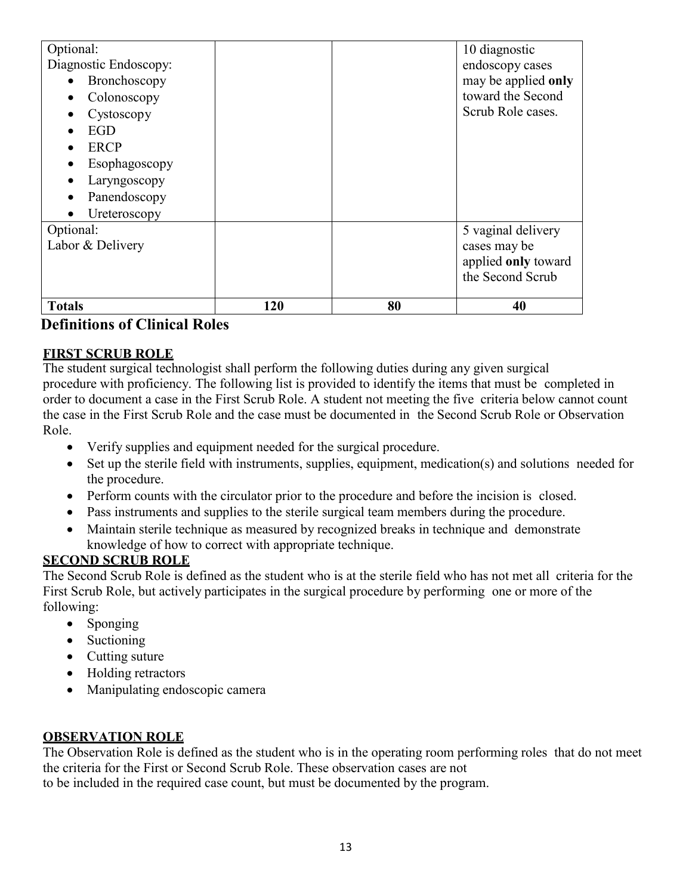| <b>Totals</b>            | 120 | 80 | 40                                      |
|--------------------------|-----|----|-----------------------------------------|
|                          |     |    | applied only toward<br>the Second Scrub |
| Labor & Delivery         |     |    | cases may be                            |
| Optional:                |     |    | 5 vaginal delivery                      |
| Ureteroscopy             |     |    |                                         |
| Panendoscopy             |     |    |                                         |
| Laryngoscopy             |     |    |                                         |
| Esophagoscopy            |     |    |                                         |
| <b>ERCP</b>              |     |    |                                         |
| EGD                      |     |    |                                         |
| Cystoscopy               |     |    | Scrub Role cases.                       |
| Colonoscopy<br>$\bullet$ |     |    | toward the Second                       |
| Bronchoscopy             |     |    | may be applied only                     |
| Diagnostic Endoscopy:    |     |    | endoscopy cases                         |
| Optional:                |     |    | 10 diagnostic                           |

# **Definitions of Clinical Roles**

## **FIRST SCRUB ROLE**

The student surgical technologist shall perform the following duties during any given surgical procedure with proficiency. The following list is provided to identify the items that must be completed in order to document a case in the First Scrub Role. A student not meeting the five criteria below cannot count the case in the First Scrub Role and the case must be documented in the Second Scrub Role or Observation Role.

- Verify supplies and equipment needed for the surgical procedure.
- Set up the sterile field with instruments, supplies, equipment, medication(s) and solutions needed for the procedure.
- Perform counts with the circulator prior to the procedure and before the incision is closed.
- Pass instruments and supplies to the sterile surgical team members during the procedure.
- Maintain sterile technique as measured by recognized breaks in technique and demonstrate knowledge of how to correct with appropriate technique.

## **SECOND SCRUB ROLE**

The Second Scrub Role is defined as the student who is at the sterile field who has not met all criteria for the First Scrub Role, but actively participates in the surgical procedure by performing one or more of the following:

- Sponging
- Suctioning
- Cutting suture
- Holding retractors
- Manipulating endoscopic camera

## **OBSERVATION ROLE**

The Observation Role is defined as the student who is in the operating room performing roles that do not meet the criteria for the First or Second Scrub Role. These observation cases are not to be included in the required case count, but must be documented by the program.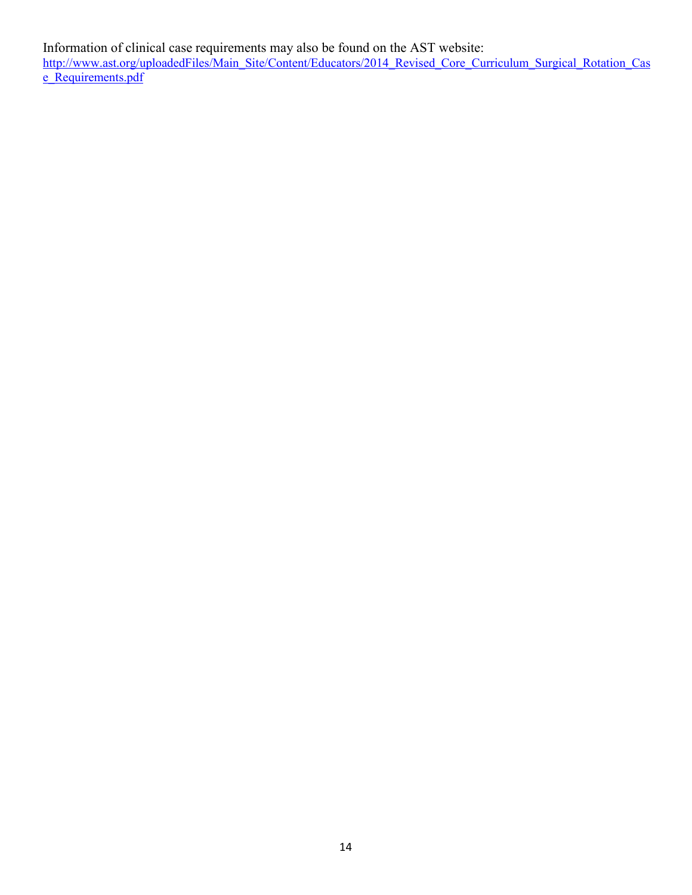Information of clinical case requirements may also be found on the AST website: [http://www.ast.org/uploadedFiles/Main\\_Site/Content/Educators/2014\\_Revised\\_Core\\_Curriculum\\_Surgical\\_Rotation\\_Cas](http://www.ast.org/uploadedFiles/Main_Site/Content/Educators/2014_Revised_Core_Curriculum_Surgical_Rotation_Case_Requirements.pdf) [e\\_Requirements.pdf](http://www.ast.org/uploadedFiles/Main_Site/Content/Educators/2014_Revised_Core_Curriculum_Surgical_Rotation_Case_Requirements.pdf)